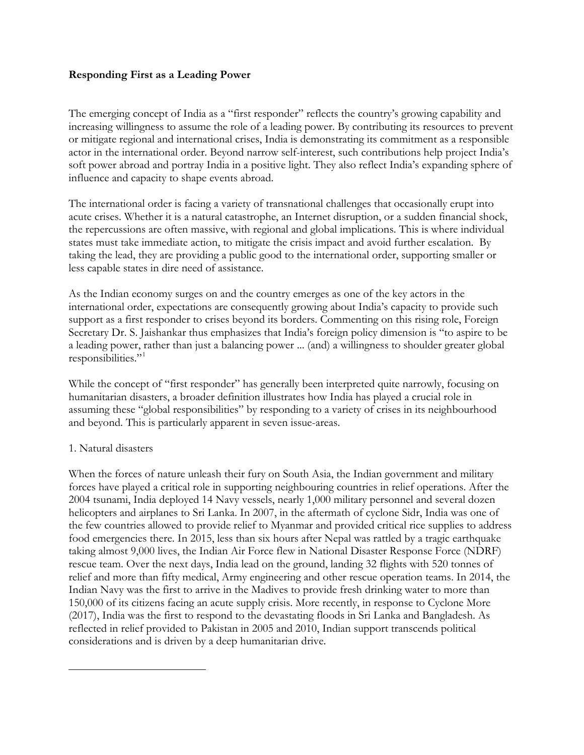### **Responding First as a Leading Power**

The emerging concept of India as a "first responder" reflects the country's growing capability and increasing willingness to assume the role of a leading power. By contributing its resources to prevent or mitigate regional and international crises, India is demonstrating its commitment as a responsible actor in the international order. Beyond narrow self-interest, such contributions help project India's soft power abroad and portray India in a positive light. They also reflect India's expanding sphere of influence and capacity to shape events abroad.

The international order is facing a variety of transnational challenges that occasionally erupt into acute crises. Whether it is a natural catastrophe, an Internet disruption, or a sudden financial shock, the repercussions are often massive, with regional and global implications. This is where individual states must take immediate action, to mitigate the crisis impact and avoid further escalation. By taking the lead, they are providing a public good to the international order, supporting smaller or less capable states in dire need of assistance.

As the Indian economy surges on and the country emerges as one of the key actors in the international order, expectations are consequently growing about India's capacity to provide such support as a first responder to crises beyond its borders. Commenting on this rising role, Foreign Secretary Dr. S. Jaishankar thus emphasizes that India's foreign policy dimension is "to aspire to be a leading power, rather than just a balancing power ... (and) a willingness to shoulder greater global responsibilities."

While the concept of "first responder" has generally been interpreted quite narrowly, focusing on humanitarian disasters, a broader definition illustrates how India has played a crucial role in assuming these "global responsibilities" by responding to a variety of crises in its neighbourhood and beyond. This is particularly apparent in seven issue-areas.

#### 1. Natural disasters

<span id="page-0-0"></span> $\overline{\phantom{a}}$ 

When the forces of nature unleash their fury on South Asia, the Indian government and military forces have played a critical role in supporting neighbouring countries in relief operations. After the 2004 tsunami, India deployed 14 Navy vessels, nearly 1,000 military personnel and several dozen helicopters and airplanes to Sri Lanka. In 2007, in the aftermath of cyclone Sidr, India was one of the few countries allowed to provide relief to Myanmar and provided critical rice supplies to address food emergencies there. In 2015, less than six hours after Nepal was rattled by a tragic earthquake taking almost 9,000 lives, the Indian Air Force flew in National Disaster Response Force (NDRF) rescue team. Over the next days, India lead on the ground, landing 32 flights with 520 tonnes of relief and more than fifty medical, Army engineering and other rescue operation teams. In 2014, the Indian Navy was the first to arrive in the Madives to provide fresh drinking water to more than 150,000 of its citizens facing an acute supply crisis. More recently, in response to Cyclone More (2017), India was the first to respond to the devastating floods in Sri Lanka and Bangladesh. As reflected in relief provided to Pakistan in 2005 and 2010, Indian support transcends political considerations and is driven by a deep humanitarian drive.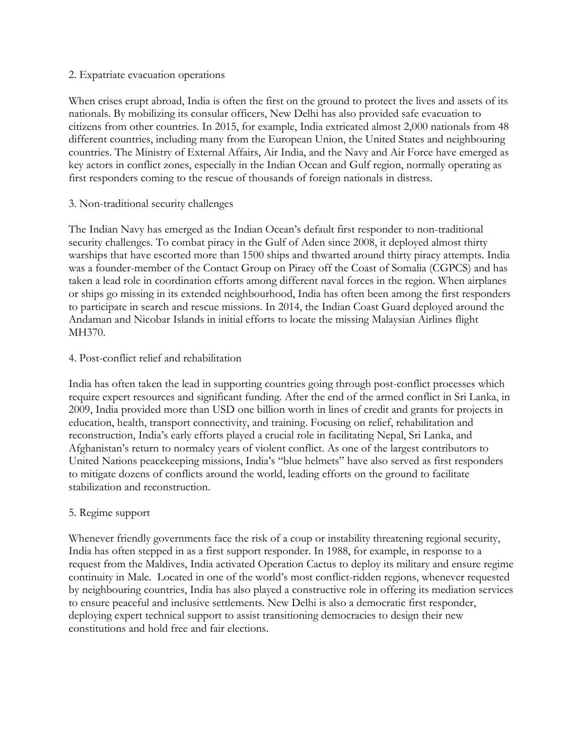#### 2. Expatriate evacuation operations

When crises erupt abroad, India is often the first on the ground to protect the lives and assets of its nationals. By mobilizing its consular officers, New Delhi has also provided safe evacuation to citizens from other countries. In 2015, for example, India extricated almost 2,000 nationals from 48 different countries, including many from the European Union, the United States and neighbouring countries. The Ministry of External Affairs, Air India, and the Navy and Air Force have emerged as key actors in conflict zones, especially in the Indian Ocean and Gulf region, normally operating as first responders coming to the rescue of thousands of foreign nationals in distress.

## 3. Non-traditional security challenges

The Indian Navy has emerged as the Indian Ocean's default first responder to non-traditional security challenges. To combat piracy in the Gulf of Aden since 2008, it deployed almost thirty warships that have escorted more than 1500 ships and thwarted around thirty piracy attempts. India was a founder-member of the Contact Group on Piracy off the Coast of Somalia (CGPCS) and has taken a lead role in coordination efforts among different naval forces in the region. When airplanes or ships go missing in its extended neighbourhood, India has often been among the first responders to participate in search and rescue missions. In 2014, the Indian Coast Guard deployed around the Andaman and Nicobar Islands in initial efforts to locate the missing Malaysian Airlines flight MH370.

## 4. Post-conflict relief and rehabilitation

India has often taken the lead in supporting countries going through post-conflict processes which require expert resources and significant funding. After the end of the armed conflict in Sri Lanka, in 2009, India provided more than USD one billion worth in lines of credit and grants for projects in education, health, transport connectivity, and training. Focusing on relief, rehabilitation and reconstruction, India's early efforts played a crucial role in facilitating Nepal, Sri Lanka, and Afghanistan's return to normalcy years of violent conflict. As one of the largest contributors to United Nations peacekeeping missions, India's "blue helmets" have also served as first responders to mitigate dozens of conflicts around the world, leading efforts on the ground to facilitate stabilization and reconstruction.

## 5. Regime support

Whenever friendly governments face the risk of a coup or instability threatening regional security, India has often stepped in as a first support responder. In 1988, for example, in response to a request from the Maldives, India activated Operation Cactus to deploy its military and ensure regime continuity in Male. Located in one of the world's most conflict-ridden regions, whenever requested by neighbouring countries, India has also played a constructive role in offering its mediation services to ensure peaceful and inclusive settlements. New Delhi is also a democratic first responder, deploying expert technical support to assist transitioning democracies to design their new constitutions and hold free and fair elections.